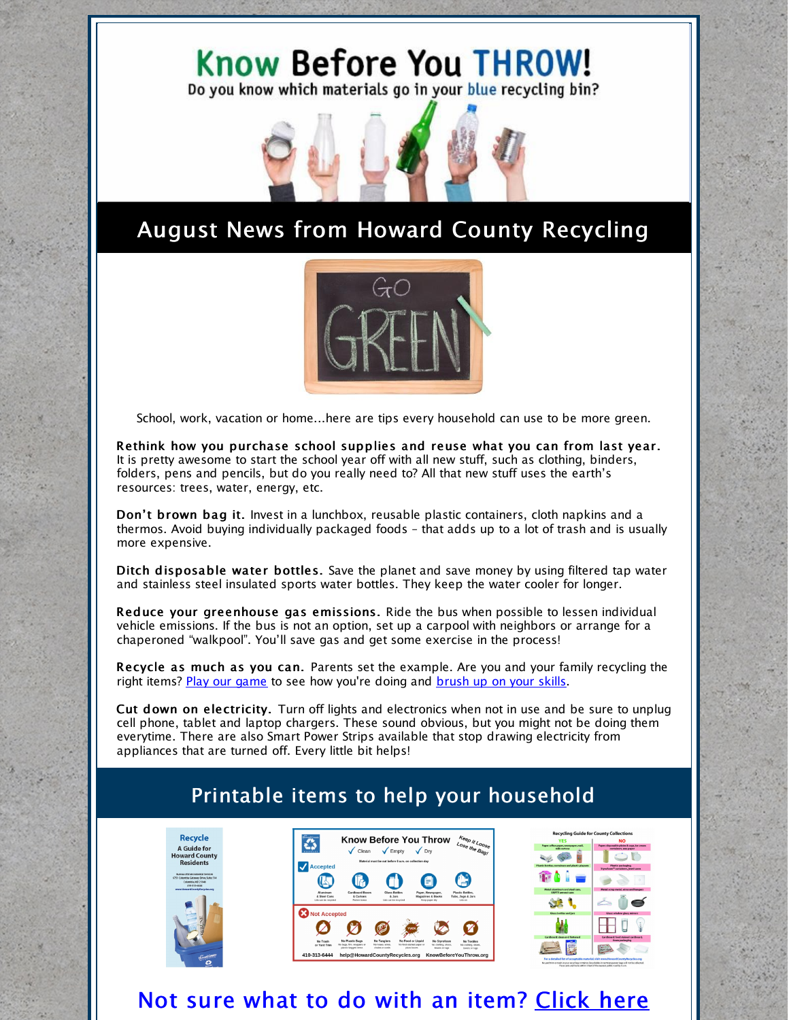### Know Before You THROW! Do you know which materials go in your blue recycling bin?



# August News from Howard County Recycling



School, work, vacation or home...here are tips every household can use to be more green.

Rethink how you purchase school supplies and reuse what you can from last year. It is pretty awesome to start the school year off with all new stuff, such as clothing, binders, folders, pens and pencils, but do you really need to? All that new stuff uses the earth's resources: trees, water, energy, etc.

Don't brown bag it. Invest in a lunchbox, reusable plastic containers, cloth napkins and a thermos. Avoid buying individually packaged foods – that adds up to a lot of trash and is usually more expensive.

Ditch disposable water bottles. Save the planet and save money by using filtered tap water and stainless steel insulated sports water bottles. They keep the water cooler for longer.

Reduce your greenhouse gas emissions. Ride the bus when possible to lessen individual vehicle emissions. If the bus is not an option, set up a carpool with neighbors or arrange for a chaperoned "walkpool". You'll save gas and get some exercise in the process!

Recycle as much as you can. Parents set the example. Are you and your family recycling the right items? Play our [game](http://howardcountymd.recycle.game/) to see how you're doing and [brush](https://www.howardcountymd.gov/Departments/Public-Works/Bureau-Of-Environmental-Services/Recycling/Recycling-Collection-Details) up on your skills.

Cut down on electricity. Turn off lights and electronics when not in use and be sure to unplug cell phone, tablet and laptop chargers. These sound obvious, but you might not be doing them everytime. There are also Smart Power Strips available that stop drawing electricity from appliances that are turned off. Every little bit helps!

#### Printable items to help your household







## Not sure what to do with an item? [Click](http://knowbeforeyouthrow.org) here